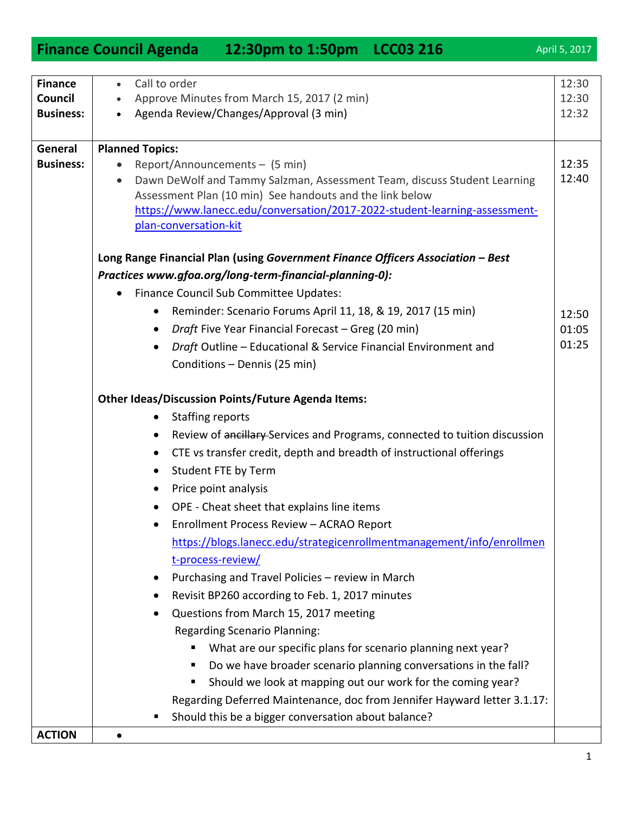|                             | <b>Finance Council Agenda</b><br>12:30pm to 1:50pm LCC03 216                                                                         | April 5, 2017  |
|-----------------------------|--------------------------------------------------------------------------------------------------------------------------------------|----------------|
|                             |                                                                                                                                      |                |
| <b>Finance</b>              | Call to order<br>$\bullet$                                                                                                           | 12:30          |
| <b>Council</b>              | Approve Minutes from March 15, 2017 (2 min)                                                                                          | 12:30          |
| <b>Business:</b>            | Agenda Review/Changes/Approval (3 min)                                                                                               | 12:32          |
|                             |                                                                                                                                      |                |
| General<br><b>Business:</b> | <b>Planned Topics:</b>                                                                                                               |                |
|                             | Report/Announcements - (5 min)<br>$\bullet$<br>Dawn DeWolf and Tammy Salzman, Assessment Team, discuss Student Learning<br>$\bullet$ | 12:35<br>12:40 |
|                             | Assessment Plan (10 min) See handouts and the link below                                                                             |                |
|                             | https://www.lanecc.edu/conversation/2017-2022-student-learning-assessment-                                                           |                |
|                             | plan-conversation-kit                                                                                                                |                |
|                             |                                                                                                                                      |                |
|                             | Long Range Financial Plan (using Government Finance Officers Association - Best                                                      |                |
|                             | Practices www.gfoa.org/long-term-financial-planning-0):                                                                              |                |
|                             | Finance Council Sub Committee Updates:<br>$\bullet$                                                                                  |                |
|                             | Reminder: Scenario Forums April 11, 18, & 19, 2017 (15 min)<br>$\bullet$                                                             | 12:50          |
|                             | Draft Five Year Financial Forecast - Greg (20 min)<br>$\bullet$                                                                      | 01:05          |
|                             | Draft Outline - Educational & Service Financial Environment and<br>$\bullet$                                                         | 01:25          |
|                             | Conditions - Dennis (25 min)                                                                                                         |                |
|                             |                                                                                                                                      |                |
|                             | <b>Other Ideas/Discussion Points/Future Agenda Items:</b>                                                                            |                |
|                             | <b>Staffing reports</b><br>$\bullet$                                                                                                 |                |
|                             | Review of ancillary-Services and Programs, connected to tuition discussion<br>$\bullet$                                              |                |
|                             | CTE vs transfer credit, depth and breadth of instructional offerings<br>$\bullet$                                                    |                |
|                             | Student FTE by Term<br>$\bullet$                                                                                                     |                |
|                             | Price point analysis                                                                                                                 |                |
|                             | OPE - Cheat sheet that explains line items                                                                                           |                |
|                             | Enrollment Process Review - ACRAO Report                                                                                             |                |
|                             | https://blogs.lanecc.edu/strategicenrollmentmanagement/info/enrollmen                                                                |                |
|                             | t-process-review/                                                                                                                    |                |
|                             | Purchasing and Travel Policies - review in March<br>$\bullet$                                                                        |                |
|                             | Revisit BP260 according to Feb. 1, 2017 minutes<br>٠                                                                                 |                |
|                             | Questions from March 15, 2017 meeting<br>٠                                                                                           |                |
|                             | <b>Regarding Scenario Planning:</b>                                                                                                  |                |
|                             | What are our specific plans for scenario planning next year?<br>ш                                                                    |                |
|                             | Do we have broader scenario planning conversations in the fall?<br>ш                                                                 |                |
|                             | Should we look at mapping out our work for the coming year?<br>п                                                                     |                |
|                             | Regarding Deferred Maintenance, doc from Jennifer Hayward letter 3.1.17:                                                             |                |
|                             | Should this be a bigger conversation about balance?<br>п                                                                             |                |
| <b>ACTION</b>               |                                                                                                                                      |                |